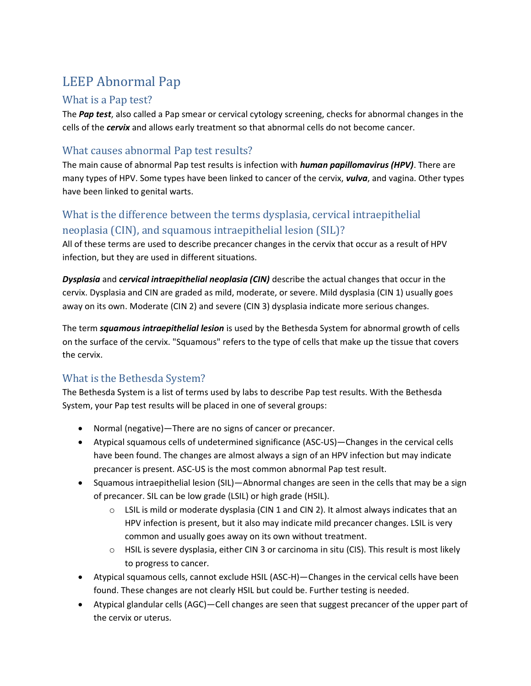# LEEP Abnormal Pap

#### What is a Pap test?

The *Pap test*, also called a Pap smear or cervical cytology screening, checks for abnormal changes in the cells of the *cervix* and allows early treatment so that abnormal cells do not become cancer.

## What causes abnormal Pap test results?

The main cause of abnormal Pap test results is infection with *human papillomavirus (HPV)*. There are many types of HPV. Some types have been linked to cancer of the cervix, *vulva*, and vagina. Other types have been linked to genital warts.

## What is the difference between the terms dysplasia, cervical intraepithelial neoplasia (CIN), and squamous intraepithelial lesion (SIL)?

All of these terms are used to describe precancer changes in the cervix that occur as a result of HPV infection, but they are used in different situations.

*Dysplasia* and *cervical intraepithelial neoplasia (CIN)* describe the actual changes that occur in the cervix. Dysplasia and CIN are graded as mild, moderate, or severe. Mild dysplasia (CIN 1) usually goes away on its own. Moderate (CIN 2) and severe (CIN 3) dysplasia indicate more serious changes.

The term *squamous intraepithelial lesion* is used by the Bethesda System for abnormal growth of cells on the surface of the cervix. "Squamous" refers to the type of cells that make up the tissue that covers the cervix.

## What is the Bethesda System?

The Bethesda System is a list of terms used by labs to describe Pap test results. With the Bethesda System, your Pap test results will be placed in one of several groups:

- Normal (negative)—There are no signs of cancer or precancer.
- Atypical squamous cells of undetermined significance (ASC-US)—Changes in the cervical cells have been found. The changes are almost always a sign of an HPV infection but may indicate precancer is present. ASC-US is the most common abnormal Pap test result.
- Squamous intraepithelial lesion (SIL)—Abnormal changes are seen in the cells that may be a sign of precancer. SIL can be low grade (LSIL) or high grade (HSIL).
	- $\circ$  LSIL is mild or moderate dysplasia (CIN 1 and CIN 2). It almost always indicates that an HPV infection is present, but it also may indicate mild precancer changes. LSIL is very common and usually goes away on its own without treatment.
	- $\circ$  HSIL is severe dysplasia, either CIN 3 or carcinoma in situ (CIS). This result is most likely to progress to cancer.
- Atypical squamous cells, cannot exclude HSIL (ASC-H)—Changes in the cervical cells have been found. These changes are not clearly HSIL but could be. Further testing is needed.
- Atypical glandular cells (AGC)—Cell changes are seen that suggest precancer of the upper part of the cervix or uterus.